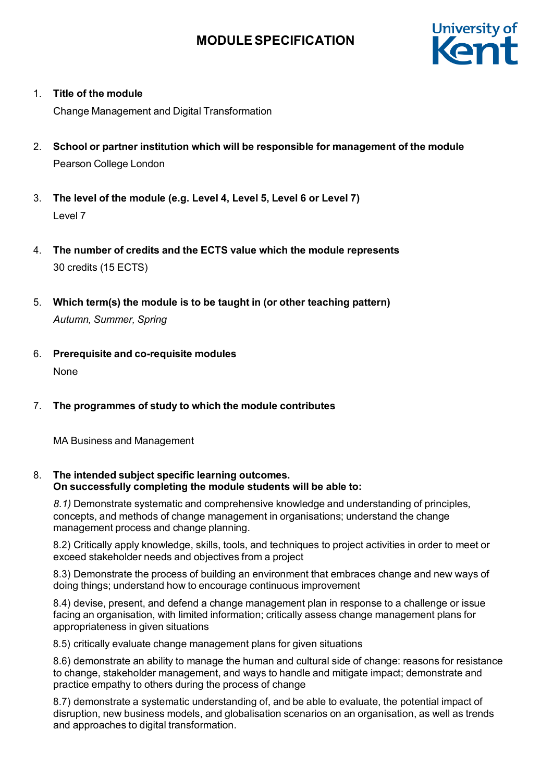

1. **Title of the module**

Change Management and Digital Transformation

- 2. **School or partner institution which will be responsible for management of the module** Pearson College London
- 3. **The level of the module (e.g. Level 4, Level 5, Level 6 or Level 7)** Level 7
- 4. **The number of credits and the ECTS value which the module represents** 30 credits (15 ECTS)
- 5. **Which term(s) the module is to be taught in (or other teaching pattern)** *Autumn, Summer, Spring*
- 6. **Prerequisite and co-requisite modules** None
- 7. **The programmes of study to which the module contributes**

MA Business and Management

8. **The intended subject specific learning outcomes. On successfully completing the module students will be able to:**

*8.1)* Demonstrate systematic and comprehensive knowledge and understanding of principles, concepts, and methods of change management in organisations; understand the change management process and change planning.

8.2) Critically apply knowledge, skills, tools, and techniques to project activities in order to meet or exceed stakeholder needs and objectives from a project

8.3) Demonstrate the process of building an environment that embraces change and new ways of doing things; understand how to encourage continuous improvement

8.4) devise, present, and defend a change management plan in response to a challenge or issue facing an organisation, with limited information; critically assess change management plans for appropriateness in given situations

8.5) critically evaluate change management plans for given situations

8.6) demonstrate an ability to manage the human and cultural side of change: reasons for resistance to change, stakeholder management, and ways to handle and mitigate impact; demonstrate and practice empathy to others during the process of change

8.7) demonstrate a systematic understanding of, and be able to evaluate, the potential impact of disruption, new business models, and globalisation scenarios on an organisation, as well as trends and approaches to digital transformation.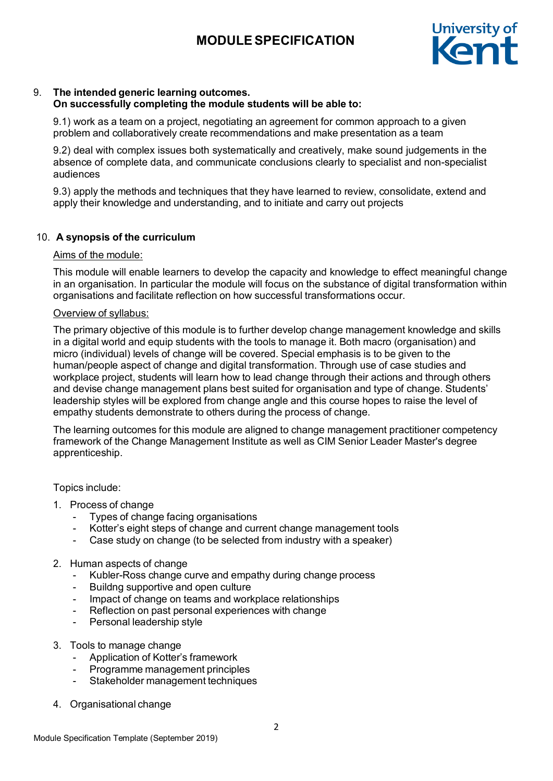

# 9. **The intended generic learning outcomes.**

### **On successfully completing the module students will be able to:**

9.1) work as a team on a project, negotiating an agreement for common approach to a given problem and collaboratively create recommendations and make presentation as a team

9.2) deal with complex issues both systematically and creatively, make sound judgements in the absence of complete data, and communicate conclusions clearly to specialist and non-specialist audiences

9.3) apply the methods and techniques that they have learned to review, consolidate, extend and apply their knowledge and understanding, and to initiate and carry out projects

## 10. **A synopsis of the curriculum**

### Aims of the module:

This module will enable learners to develop the capacity and knowledge to effect meaningful change in an organisation. In particular the module will focus on the substance of digital transformation within organisations and facilitate reflection on how successful transformations occur.

### Overview of syllabus:

The primary objective of this module is to further develop change management knowledge and skills in a digital world and equip students with the tools to manage it. Both macro (organisation) and micro (individual) levels of change will be covered. Special emphasis is to be given to the human/people aspect of change and digital transformation. Through use of case studies and workplace project, students will learn how to lead change through their actions and through others and devise change management plans best suited for organisation and type of change. Students' leadership styles will be explored from change angle and this course hopes to raise the level of empathy students demonstrate to others during the process of change.

The learning outcomes for this module are aligned to change management practitioner competency framework of the Change Management Institute as well as CIM Senior Leader Master's degree apprenticeship.

Topics include:

- 1. Process of change
	- Types of change facing organisations
		- Kotter's eight steps of change and current change management tools
		- Case study on change (to be selected from industry with a speaker)

### 2. Human aspects of change

- Kubler-Ross change curve and empathy during change process
- Buildng supportive and open culture
- Impact of change on teams and workplace relationships
- Reflection on past personal experiences with change
- Personal leadership style
- 3. Tools to manage change
	- Application of Kotter's framework
	- Programme management principles
	- Stakeholder management techniques
- 4. Organisational change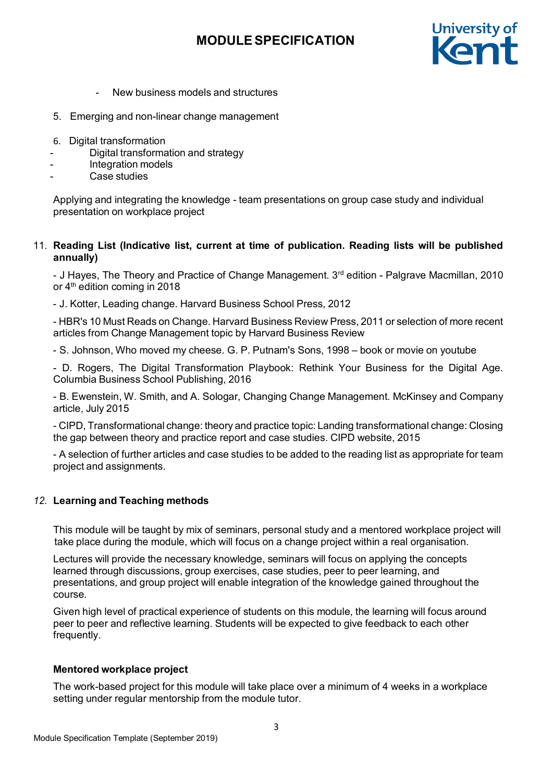

- New business models and structures
- 5. Emerging and non-linear change management
- 6. Digital transformation
- Digital transformation and strategy
- Integration models
- Case studies

Applying and integrating the knowledge - team presentations on group case study and individual presentation on workplace project

### 11. **Reading List (Indicative list, current at time of publication. Reading lists will be published annually)**

- J Hayes, The Theory and Practice of Change Management. 3<sup>rd</sup> edition - Palgrave Macmillan, 2010 or  $4<sup>th</sup>$  edition coming in 2018

- J. Kotter, Leading change. Harvard Business School Press, 2012

- HBR's 10 Must Reads on Change. Harvard Business Review Press, 2011 or selection of more recent articles from Change Management topic by Harvard Business Review

- S. Johnson, Who moved my cheese. G. P. [Putnam's](https://www.google.co.uk/search?q=g.p.%2Bputnam%27s%2Bsons&stick=H4sIAAAAAAAAAOPgE-LUz9U3MMwxSslQ4gIxTQuzUlKStNQyyq30k_NzclKTSzLz8_TLizJLSlLz4svzi7KLrQpKk3IyizNSiwDYuTh2QQAAAA&sa=X&ved=0ahUKEwi-4-zoxtnJAhXDbhQKHW6-ADcQmxMIpAEoATAS) Sons, 1998 – book or movie on youtube

- D. Rogers, The Digital Transformation Playbook: Rethink Your Business for the Digital Age. Columbia Business School Publishing, 2016

- B. Ewenstein, W. Smith, and A. Sologar, Changing Change Management. McKinsey and Company article, July 2015

- CIPD, Transformational change: theory and practice topic: Landing transformational change: Closing the gap between theory and practice report and case studies. CIPD website, 2015

- A selection of further articles and case studies to be added to the reading list as appropriate for team project and assignments.

### *12.* **Learning and Teaching methods**

This module will be taught by mix of seminars, personal study and a mentored workplace project will take place during the module, which will focus on a change project within a real organisation.

Lectures will provide the necessary knowledge, seminars will focus on applying the concepts learned through discussions, group exercises, case studies, peer to peer learning, and presentations, and group project will enable integration of the knowledge gained throughout the course.

Given high level of practical experience of students on this module, the learning will focus around peer to peer and reflective learning. Students will be expected to give feedback to each other frequently.

### **Mentored workplace project**

The work-based project for this module will take place over a minimum of 4 weeks in a workplace setting under regular mentorship from the module tutor.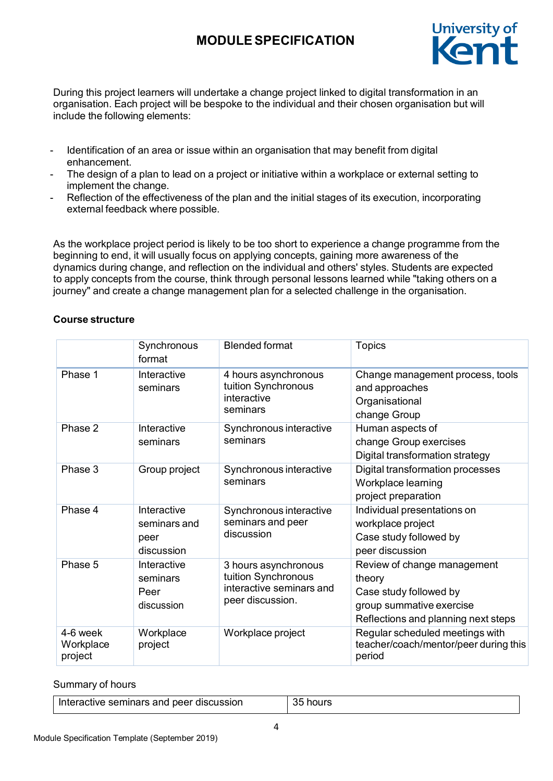

During this project learners will undertake a change project linked to digital transformation in an organisation. Each project will be bespoke to the individual and their chosen organisation but will include the following elements:

- Identification of an area or issue within an organisation that may benefit from digital enhancement.
- The design of a plan to lead on a project or initiative within a workplace or external setting to implement the change.
- Reflection of the effectiveness of the plan and the initial stages of its execution, incorporating external feedback where possible.

As the workplace project period is likely to be too short to experience a change programme from the beginning to end, it will usually focus on applying concepts, gaining more awareness of the dynamics during change, and reflection on the individual and others' styles. Students are expected to apply concepts from the course, think through personal lessons learned while "taking others on a journey" and create a change management plan for a selected challenge in the organisation.

### **Course structure**

|                                  | Synchronous<br>format                             | <b>Blended format</b>                                                                       | <b>Topics</b>                                                                                                                      |
|----------------------------------|---------------------------------------------------|---------------------------------------------------------------------------------------------|------------------------------------------------------------------------------------------------------------------------------------|
| Phase 1                          | Interactive<br>seminars                           | 4 hours asynchronous<br>tuition Synchronous<br>interactive<br>seminars                      | Change management process, tools<br>and approaches<br>Organisational<br>change Group                                               |
| Phase 2                          | Interactive<br>seminars                           | Synchronous interactive<br>seminars                                                         | Human aspects of<br>change Group exercises<br>Digital transformation strategy                                                      |
| Phase 3                          | Group project                                     | Synchronous interactive<br>seminars                                                         | Digital transformation processes<br>Workplace learning<br>project preparation                                                      |
| Phase 4                          | Interactive<br>seminars and<br>peer<br>discussion | Synchronous interactive<br>seminars and peer<br>discussion                                  | Individual presentations on<br>workplace project<br>Case study followed by<br>peer discussion                                      |
| Phase 5                          | Interactive<br>seminars<br>Peer<br>discussion     | 3 hours asynchronous<br>tuition Synchronous<br>interactive seminars and<br>peer discussion. | Review of change management<br>theory<br>Case study followed by<br>group summative exercise<br>Reflections and planning next steps |
| 4-6 week<br>Workplace<br>project | Workplace<br>project                              | Workplace project                                                                           | Regular scheduled meetings with<br>teacher/coach/mentor/peer during this<br>period                                                 |

Summary of hours

| Interactive seminars and peer discussion | 35 hours |
|------------------------------------------|----------|
|                                          |          |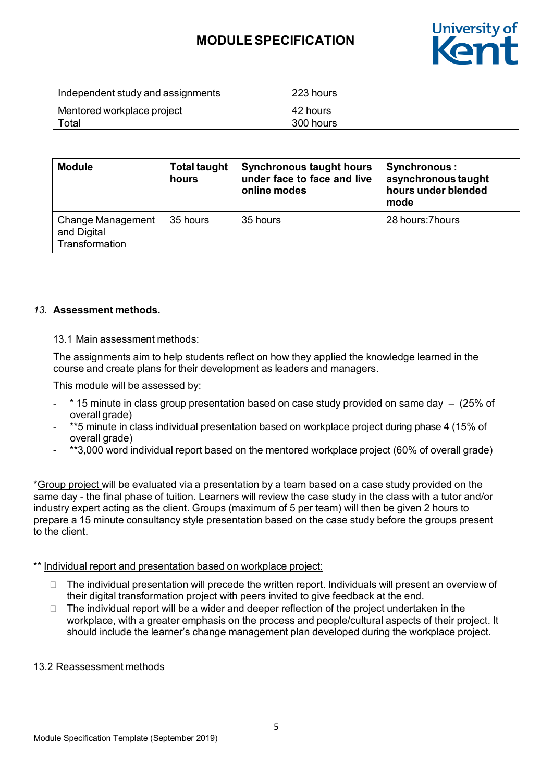

| Independent study and assignments | 223 hours |
|-----------------------------------|-----------|
| Mentored workplace project        | 42 hours  |
| Total                             | 300 hours |

| <b>Module</b>                                      | <b>Total taught</b><br>hours | <b>Synchronous taught hours</b><br>under face to face and live<br>online modes | <b>Synchronous:</b><br>asynchronous taught<br>hours under blended<br>mode |
|----------------------------------------------------|------------------------------|--------------------------------------------------------------------------------|---------------------------------------------------------------------------|
| Change Management<br>and Digital<br>Transformation | 35 hours                     | 35 hours                                                                       | 28 hours: 7 hours                                                         |

### *13.* **Assessment methods.**

### 13.1 Main assessment methods:

The assignments aim to help students reflect on how they applied the knowledge learned in the course and create plans for their development as leaders and managers.

This module will be assessed by:

- \* 15 minute in class group presentation based on case study provided on same day (25% of overall grade)
- \*\*5 minute in class individual presentation based on workplace project during phase 4 (15% of overall grade)
- \*\*3,000 word individual report based on the mentored workplace project (60% of overall grade)

\*Group project will be evaluated via a presentation by a team based on a case study provided on the same day - the final phase of tuition. Learners will review the case study in the class with a tutor and/or industry expert acting as the client. Groups (maximum of 5 per team) will then be given 2 hours to prepare a 15 minute consultancy style presentation based on the case study before the groups present to the client.

### \*\* Individual report and presentation based on workplace project:

- $\Box$  The individual presentation will precede the written report. Individuals will present an overview of their digital transformation project with peers invited to give feedback at the end.
- $\Box$  The individual report will be a wider and deeper reflection of the project undertaken in the workplace, with a greater emphasis on the process and people/cultural aspects of their project. It should include the learner's change management plan developed during the workplace project.

#### 13.2 Reassessment methods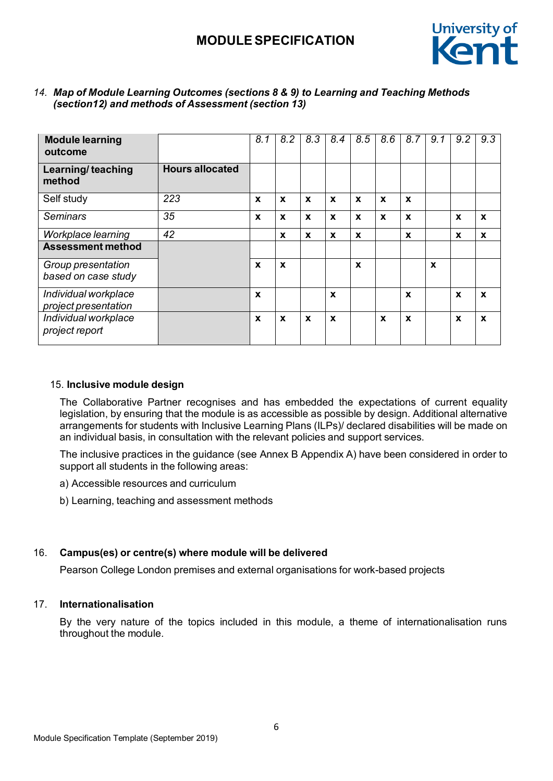

| <b>Module learning</b><br>outcome              |                        | 8.1              | 8.2                       | 8.3              | 8.4         | 8.5              | 8.6              | 8.7              | 9.1              | 9.2                       | 9.3          |
|------------------------------------------------|------------------------|------------------|---------------------------|------------------|-------------|------------------|------------------|------------------|------------------|---------------------------|--------------|
| Learning/teaching<br>method                    | <b>Hours allocated</b> |                  |                           |                  |             |                  |                  |                  |                  |                           |              |
| Self study                                     | 223                    | $\boldsymbol{x}$ | $\mathbf x$               | $\mathbf x$      | $\mathbf x$ | $\mathbf x$      | $\mathbf x$      | $\mathbf x$      |                  |                           |              |
| <b>Seminars</b>                                | 35                     | $\boldsymbol{x}$ | $\boldsymbol{x}$          | $\boldsymbol{x}$ | X           | X                | $\boldsymbol{x}$ | $\boldsymbol{x}$ |                  | $\boldsymbol{x}$          | $\mathbf x$  |
| Workplace learning<br><b>Assessment method</b> | 42                     |                  | $\mathbf{x}$              | X                | X           | X                |                  | $\mathbf{x}$     |                  | $\mathbf x$               | $\mathbf x$  |
| Group presentation<br>based on case study      |                        | X                | $\boldsymbol{\mathsf{x}}$ |                  |             | $\boldsymbol{x}$ |                  |                  | $\boldsymbol{x}$ |                           |              |
| Individual workplace<br>project presentation   |                        | $\mathbf x$      |                           |                  | X           |                  |                  | $\mathbf x$      |                  | $\boldsymbol{\mathsf{x}}$ | $\mathbf{x}$ |
| Individual workplace<br>project report         |                        | X                | X                         | $\boldsymbol{x}$ | X           |                  | $\boldsymbol{x}$ | $\mathbf x$      |                  | $\boldsymbol{x}$          | $\mathbf{x}$ |

### *14. Map of Module Learning Outcomes (sections 8 & 9) to Learning and Teaching Methods (section12) and methods of Assessment (section 13)*

### 15. **Inclusive module design**

The Collaborative Partner recognises and has embedded the expectations of current equality legislation, by ensuring that the module is as accessible as possible by design. Additional alternative arrangements for students with Inclusive Learning Plans (ILPs)/ declared disabilities will be made on an individual basis, in consultation with the relevant policies and support services.

The inclusive practices in the guidance (see Annex B Appendix A) have been considered in order to support all students in the following areas:

- a) Accessible resources and curriculum
- b) Learning, teaching and assessment methods

#### 16. **Campus(es) or centre(s) where module will be delivered**

Pearson College London premises and external organisations for work-based projects

### 17. **Internationalisation**

By the very nature of the topics included in this module, a theme of internationalisation runs throughout the module.